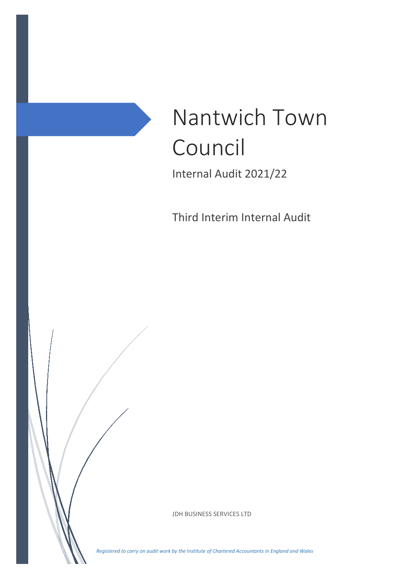

Third Interim Internal Audit

JDH BUSINESS SERVICES LTD

*Registered to carry on audit work by the Institute of Chartered Accountants in England and Wales*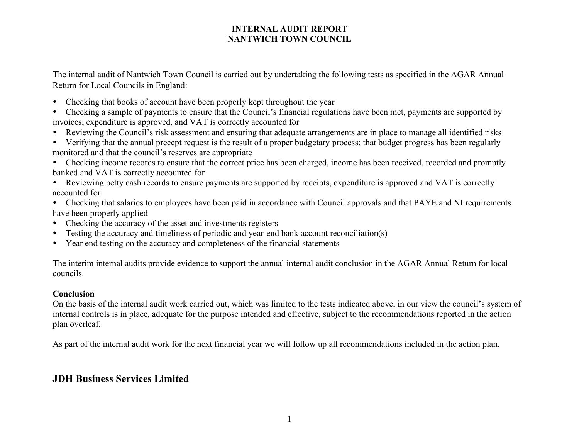The internal audit of Nantwich Town Council is carried out by undertaking the following tests as specified in the AGAR Annual Return for Local Councils in England:

Checking that books of account have been properly kept throughout the year

 Checking a sample of payments to ensure that the Council's financial regulations have been met, payments are supported by invoices, expenditure is approved, and VAT is correctly accounted for

- Reviewing the Council's risk assessment and ensuring that adequate arrangements are in place to manage all identified risks
- Verifying that the annual precept request is the result of a proper budgetary process; that budget progress has been regularly monitored and that the council's reserves are appropriate
- Checking income records to ensure that the correct price has been charged, income has been received, recorded and promptly banked and VAT is correctly accounted for
- Reviewing petty cash records to ensure payments are supported by receipts, expenditure is approved and VAT is correctly accounted for
- Checking that salaries to employees have been paid in accordance with Council approvals and that PAYE and NI requirements have been properly applied
- Checking the accuracy of the asset and investments registers
- Testing the accuracy and timeliness of periodic and year-end bank account reconciliation(s)
- Year end testing on the accuracy and completeness of the financial statements

The interim internal audits provide evidence to support the annual internal audit conclusion in the AGAR Annual Return for local councils.

#### **Conclusion**

On the basis of the internal audit work carried out, which was limited to the tests indicated above, in our view the council's system of internal controls is in place, adequate for the purpose intended and effective, subject to the recommendations reported in the action plan overleaf.

As part of the internal audit work for the next financial year we will follow up all recommendations included in the action plan.

## **JDH Business Services Limited**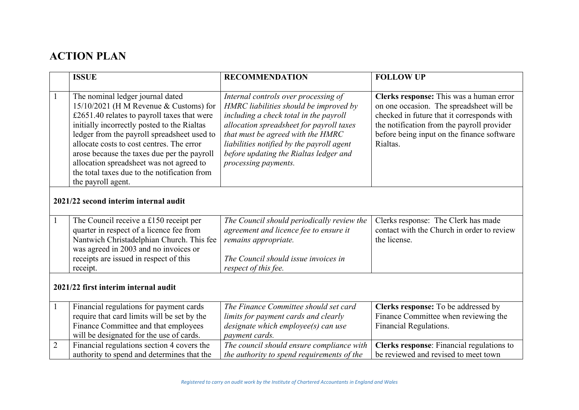# **ACTION PLAN**

|                                       | <b>ISSUE</b>                                                                                                                                                                                                                                                                                                                                                                                                                          | <b>RECOMMENDATION</b>                                                                                                                                                                                                                                                                                                    | <b>FOLLOW UP</b>                                                                                                                                                                                                                          |  |
|---------------------------------------|---------------------------------------------------------------------------------------------------------------------------------------------------------------------------------------------------------------------------------------------------------------------------------------------------------------------------------------------------------------------------------------------------------------------------------------|--------------------------------------------------------------------------------------------------------------------------------------------------------------------------------------------------------------------------------------------------------------------------------------------------------------------------|-------------------------------------------------------------------------------------------------------------------------------------------------------------------------------------------------------------------------------------------|--|
| $\mathbf{1}$                          | The nominal ledger journal dated<br>15/10/2021 (H M Revenue & Customs) for<br>£2651.40 relates to payroll taxes that were<br>initially incorrectly posted to the Rialtas<br>ledger from the payroll spreadsheet used to<br>allocate costs to cost centres. The error<br>arose because the taxes due per the payroll<br>allocation spreadsheet was not agreed to<br>the total taxes due to the notification from<br>the payroll agent. | Internal controls over processing of<br>HMRC liabilities should be improved by<br>including a check total in the payroll<br>allocation spreadsheet for payroll taxes<br>that must be agreed with the HMRC<br>liabilities notified by the payroll agent<br>before updating the Rialtas ledger and<br>processing payments. | Clerks response: This was a human error<br>on one occasion. The spreadsheet will be<br>checked in future that it corresponds with<br>the notification from the payroll provider<br>before being input on the finance software<br>Rialtas. |  |
| 2021/22 second interim internal audit |                                                                                                                                                                                                                                                                                                                                                                                                                                       |                                                                                                                                                                                                                                                                                                                          |                                                                                                                                                                                                                                           |  |
| $\mathbf{1}$                          | The Council receive a £150 receipt per<br>quarter in respect of a licence fee from<br>Nantwich Christadelphian Church. This fee<br>was agreed in 2003 and no invoices or<br>receipts are issued in respect of this<br>receipt.                                                                                                                                                                                                        | The Council should periodically review the<br>agreement and licence fee to ensure it<br>remains appropriate.<br>The Council should issue invoices in<br>respect of this fee.                                                                                                                                             | Clerks response: The Clerk has made<br>contact with the Church in order to review<br>the license.                                                                                                                                         |  |
| 2021/22 first interim internal audit  |                                                                                                                                                                                                                                                                                                                                                                                                                                       |                                                                                                                                                                                                                                                                                                                          |                                                                                                                                                                                                                                           |  |
| $\mathbf{1}$                          | Financial regulations for payment cards<br>require that card limits will be set by the<br>Finance Committee and that employees<br>will be designated for the use of cards.                                                                                                                                                                                                                                                            | The Finance Committee should set card<br>limits for payment cards and clearly<br>designate which employee(s) can use<br>payment cards.                                                                                                                                                                                   | Clerks response: To be addressed by<br>Finance Committee when reviewing the<br>Financial Regulations.                                                                                                                                     |  |
| $\overline{2}$                        | Financial regulations section 4 covers the<br>authority to spend and determines that the                                                                                                                                                                                                                                                                                                                                              | The council should ensure compliance with<br>the authority to spend requirements of the                                                                                                                                                                                                                                  | Clerks response: Financial regulations to<br>be reviewed and revised to meet town                                                                                                                                                         |  |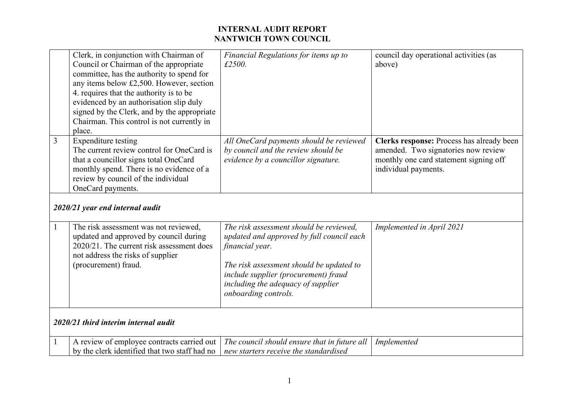|              | Clerk, in conjunction with Chairman of<br>Council or Chairman of the appropriate<br>committee, has the authority to spend for<br>any items below £2,500. However, section<br>4. requires that the authority is to be<br>evidenced by an authorisation slip duly<br>signed by the Clerk, and by the appropriate<br>Chairman. This control is not currently in<br>place. | Financial Regulations for items up to<br>£2500.                                                                                                                                                                                                           | council day operational activities (as<br>above)                                                                                                   |  |  |
|--------------|------------------------------------------------------------------------------------------------------------------------------------------------------------------------------------------------------------------------------------------------------------------------------------------------------------------------------------------------------------------------|-----------------------------------------------------------------------------------------------------------------------------------------------------------------------------------------------------------------------------------------------------------|----------------------------------------------------------------------------------------------------------------------------------------------------|--|--|
| 3            | Expenditure testing<br>The current review control for OneCard is<br>that a councillor signs total OneCard<br>monthly spend. There is no evidence of a<br>review by council of the individual<br>OneCard payments.<br>2020/21 year end internal audit                                                                                                                   | All OneCard payments should be reviewed<br>by council and the review should be<br>evidence by a councillor signature.                                                                                                                                     | Clerks response: Process has already been<br>amended. Two signatories now review<br>monthly one card statement signing off<br>individual payments. |  |  |
|              |                                                                                                                                                                                                                                                                                                                                                                        |                                                                                                                                                                                                                                                           |                                                                                                                                                    |  |  |
| $\mathbf{1}$ | The risk assessment was not reviewed,<br>updated and approved by council during<br>2020/21. The current risk assessment does<br>not address the risks of supplier<br>(procurement) fraud.                                                                                                                                                                              | The risk assessment should be reviewed,<br>updated and approved by full council each<br>financial year.<br>The risk assessment should be updated to<br>include supplier (procurement) fraud<br>including the adequacy of supplier<br>onboarding controls. | Implemented in April 2021                                                                                                                          |  |  |
|              | 2020/21 third interim internal audit                                                                                                                                                                                                                                                                                                                                   |                                                                                                                                                                                                                                                           |                                                                                                                                                    |  |  |
|              | A review of employee contracts carried out<br>by the clerk identified that two staff had no                                                                                                                                                                                                                                                                            | The council should ensure that in future all<br>new starters receive the standardised                                                                                                                                                                     | Implemented                                                                                                                                        |  |  |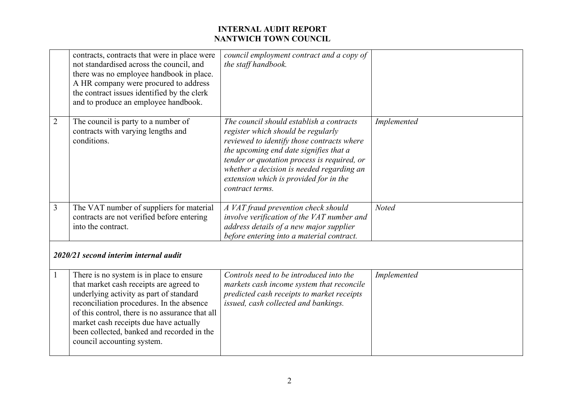|                                       | contracts, contracts that were in place were<br>not standardised across the council, and<br>there was no employee handbook in place.<br>A HR company were procured to address<br>the contract issues identified by the clerk<br>and to produce an employee handbook.                                                                                 | council employment contract and a copy of<br>the staff handbook.                                                                                                                                                                                                                                                                |              |
|---------------------------------------|------------------------------------------------------------------------------------------------------------------------------------------------------------------------------------------------------------------------------------------------------------------------------------------------------------------------------------------------------|---------------------------------------------------------------------------------------------------------------------------------------------------------------------------------------------------------------------------------------------------------------------------------------------------------------------------------|--------------|
| $\overline{2}$                        | The council is party to a number of<br>contracts with varying lengths and<br>conditions.                                                                                                                                                                                                                                                             | The council should establish a contracts<br>register which should be regularly<br>reviewed to identify those contracts where<br>the upcoming end date signifies that a<br>tender or quotation process is required, or<br>whether a decision is needed regarding an<br>extension which is provided for in the<br>contract terms. | Implemented  |
| $\overline{3}$                        | The VAT number of suppliers for material<br>contracts are not verified before entering<br>into the contract.                                                                                                                                                                                                                                         | A VAT fraud prevention check should<br>involve verification of the VAT number and<br>address details of a new major supplier<br>before entering into a material contract.                                                                                                                                                       | <b>Noted</b> |
| 2020/21 second interim internal audit |                                                                                                                                                                                                                                                                                                                                                      |                                                                                                                                                                                                                                                                                                                                 |              |
| 1                                     | There is no system is in place to ensure<br>that market cash receipts are agreed to<br>underlying activity as part of standard<br>reconciliation procedures. In the absence<br>of this control, there is no assurance that all<br>market cash receipts due have actually<br>been collected, banked and recorded in the<br>council accounting system. | Controls need to be introduced into the<br>markets cash income system that reconcile<br>predicted cash receipts to market receipts<br>issued, cash collected and bankings.                                                                                                                                                      | Implemented  |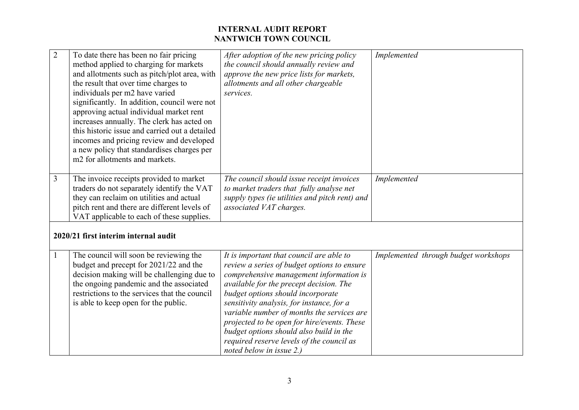| $\overline{2}$ | To date there has been no fair pricing<br>method applied to charging for markets<br>and allotments such as pitch/plot area, with<br>the result that over time charges to<br>individuals per m2 have varied<br>significantly. In addition, council were not<br>approving actual individual market rent<br>increases annually. The clerk has acted on<br>this historic issue and carried out a detailed<br>incomes and pricing review and developed<br>a new policy that standardises charges per<br>m <sub>2</sub> for allotments and markets. | After adoption of the new pricing policy<br>the council should annually review and<br>approve the new price lists for markets,<br>allotments and all other chargeable<br>services.                                                                                                                                                                                                                                                                                               | Implemented                          |  |  |
|----------------|-----------------------------------------------------------------------------------------------------------------------------------------------------------------------------------------------------------------------------------------------------------------------------------------------------------------------------------------------------------------------------------------------------------------------------------------------------------------------------------------------------------------------------------------------|----------------------------------------------------------------------------------------------------------------------------------------------------------------------------------------------------------------------------------------------------------------------------------------------------------------------------------------------------------------------------------------------------------------------------------------------------------------------------------|--------------------------------------|--|--|
| 3              | The invoice receipts provided to market<br>traders do not separately identify the VAT<br>they can reclaim on utilities and actual<br>pitch rent and there are different levels of<br>VAT applicable to each of these supplies.                                                                                                                                                                                                                                                                                                                | The council should issue receipt invoices<br>to market traders that fully analyse net<br>supply types (ie utilities and pitch rent) and<br>associated VAT charges.                                                                                                                                                                                                                                                                                                               | Implemented                          |  |  |
|                | 2020/21 first interim internal audit                                                                                                                                                                                                                                                                                                                                                                                                                                                                                                          |                                                                                                                                                                                                                                                                                                                                                                                                                                                                                  |                                      |  |  |
| $\mathbf{1}$   | The council will soon be reviewing the<br>budget and precept for 2021/22 and the<br>decision making will be challenging due to<br>the ongoing pandemic and the associated<br>restrictions to the services that the council<br>is able to keep open for the public.                                                                                                                                                                                                                                                                            | It is important that council are able to<br>review a series of budget options to ensure<br>comprehensive management information is<br>available for the precept decision. The<br>budget options should incorporate<br>sensitivity analysis, for instance, for a<br>variable number of months the services are<br>projected to be open for hire/events. These<br>budget options should also build in the<br>required reserve levels of the council as<br>noted below in issue 2.) | Implemented through budget workshops |  |  |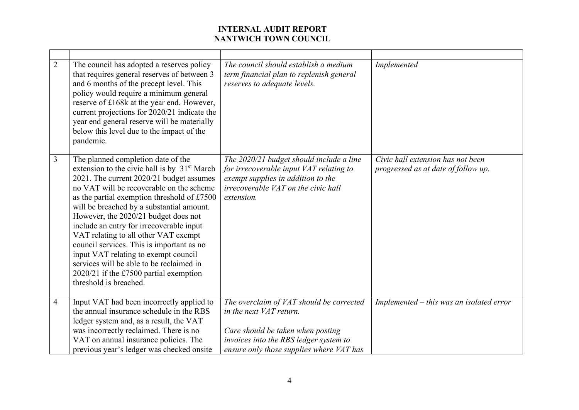| $\overline{2}$ | The council has adopted a reserves policy<br>that requires general reserves of between 3<br>and 6 months of the precept level. This<br>policy would require a minimum general<br>reserve of £168k at the year end. However,<br>current projections for 2020/21 indicate the<br>year end general reserve will be materially<br>below this level due to the impact of the<br>pandemic.                                                                                                                                                                                                                                  | The council should establish a medium<br>term financial plan to replenish general<br>reserves to adequate levels.                                                                              | Implemented                                                              |
|----------------|-----------------------------------------------------------------------------------------------------------------------------------------------------------------------------------------------------------------------------------------------------------------------------------------------------------------------------------------------------------------------------------------------------------------------------------------------------------------------------------------------------------------------------------------------------------------------------------------------------------------------|------------------------------------------------------------------------------------------------------------------------------------------------------------------------------------------------|--------------------------------------------------------------------------|
| $\overline{3}$ | The planned completion date of the<br>extension to the civic hall is by 31 <sup>st</sup> March<br>2021. The current 2020/21 budget assumes<br>no VAT will be recoverable on the scheme<br>as the partial exemption threshold of £7500<br>will be breached by a substantial amount.<br>However, the 2020/21 budget does not<br>include an entry for irrecoverable input<br>VAT relating to all other VAT exempt<br>council services. This is important as no<br>input VAT relating to exempt council<br>services will be able to be reclaimed in<br>$2020/21$ if the £7500 partial exemption<br>threshold is breached. | The 2020/21 budget should include a line<br>for irrecoverable input VAT relating to<br>exempt supplies in addition to the<br>irrecoverable VAT on the civic hall<br>extension.                 | Civic hall extension has not been<br>progressed as at date of follow up. |
| $\overline{4}$ | Input VAT had been incorrectly applied to<br>the annual insurance schedule in the RBS<br>ledger system and, as a result, the VAT<br>was incorrectly reclaimed. There is no<br>VAT on annual insurance policies. The<br>previous year's ledger was checked onsite                                                                                                                                                                                                                                                                                                                                                      | The overclaim of VAT should be corrected<br>in the next VAT return.<br>Care should be taken when posting<br>invoices into the RBS ledger system to<br>ensure only those supplies where VAT has | Implemented - this was an isolated error                                 |